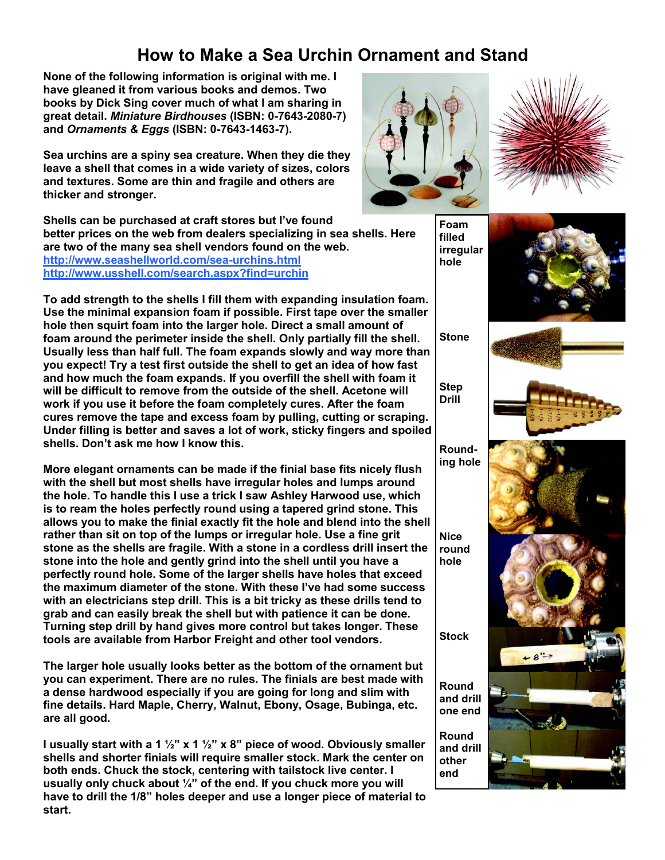## **How to Make a Sea Urchin Ornament and Stand**

**None of the following information is original with me. I have gleaned it from various books and demos. Two books by Dick Sing cover much of what I am sharing in great detail.** *Miniature Birdhouses* **(ISBN: 0-7643-2080-7) and** *Ornaments & Eggs* **(ISBN: 0-7643-1463-7).** 

**Sea urchins are a spiny sea creature. When they die they leave a shell that comes in a wide variety of sizes, colors and textures. Some are thin and fragile and others are thicker and stronger.** 

**Shells can be purchased at craft stores but I've found better prices on the web from dealers specializing in sea shells. Here are two of the many sea shell vendors found on the web. http://www.seashellworld.com/sea-urchins.html http://www.usshell.com/search.aspx?find=urchin**

**To add strength to the shells I fill them with expanding insulation foam. Use the minimal expansion foam if possible. First tape over the smaller hole then squirt foam into the larger hole. Direct a small amount of foam around the perimeter inside the shell. Only partially fill the shell. Usually less than half full. The foam expands slowly and way more than you expect! Try a test first outside the shell to get an idea of how fast and how much the foam expands. If you overfill the shell with foam it will be difficult to remove from the outside of the shell. Acetone will work if you use it before the foam completely cures. After the foam cures remove the tape and excess foam by pulling, cutting or scraping. Under filling is better and saves a lot of work, sticky fingers and spoiled shells. Don't ask me how I know this.** 

**More elegant ornaments can be made if the finial base fits nicely flush with the shell but most shells have irregular holes and lumps around the hole. To handle this I use a trick I saw Ashley Harwood use, which is to ream the holes perfectly round using a tapered grind stone. This allows you to make the finial exactly fit the hole and blend into the shell rather than sit on top of the lumps or irregular hole. Use a fine grit stone as the shells are fragile. With a stone in a cordless drill insert the stone into the hole and gently grind into the shell until you have a perfectly round hole. Some of the larger shells have holes that exceed the maximum diameter of the stone. With these I've had some success with an electricians step drill. This is a bit tricky as these drills tend to grab and can easily break the shell but with patience it can be done. Turning step drill by hand gives more control but takes longer. These tools are available from Harbor Freight and other tool vendors.** 

**The larger hole usually looks better as the bottom of the ornament but you can experiment. There are no rules. The finials are best made with a dense hardwood especially if you are going for long and slim with fine details. Hard Maple, Cherry, Walnut, Ebony, Osage, Bubinga, etc. are all good.** 

**I usually start with a 1 ½" x 1 ½" x 8" piece of wood. Obviously smaller shells and shorter finials will require smaller stock. Mark the center on both ends. Chuck the stock, centering with tailstock live center. I usually only chuck about ¼" of the end. If you chuck more you will have to drill the 1/8" holes deeper and use a longer piece of material to start.** 





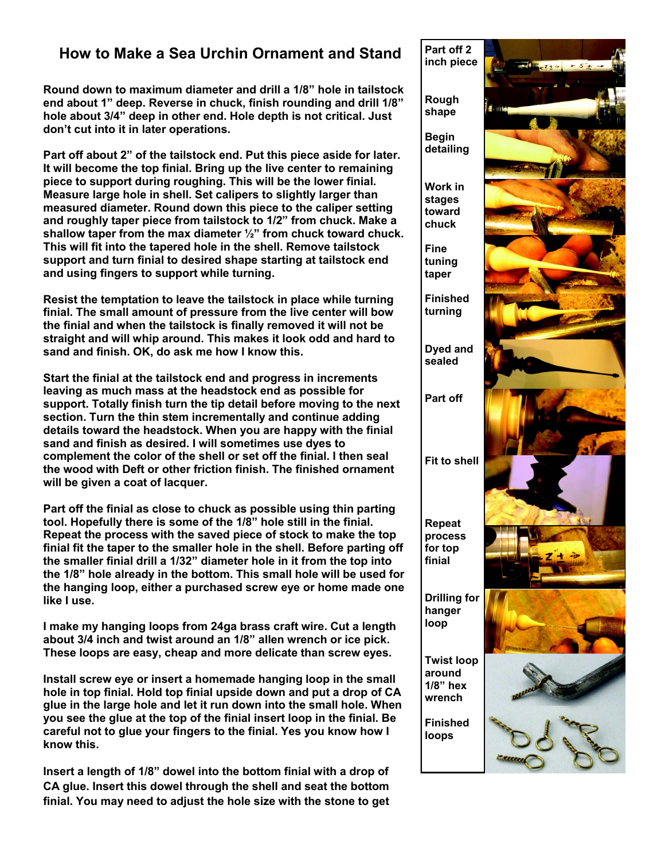## **How to Make a Sea Urchin Ornament and Stand**

**Round down to maximum diameter and drill a 1/8" hole in tailstock end about 1" deep. Reverse in chuck, finish rounding and drill 1/8" hole about 3/4" deep in other end. Hole depth is not critical. Just don't cut into it in later operations.**

**Part off about 2" of the tailstock end. Put this piece aside for later. It will become the top finial. Bring up the live center to remaining piece to support during roughing. This will be the lower finial. Measure large hole in shell. Set calipers to slightly larger than measured diameter. Round down this piece to the caliper setting and roughly taper piece from tailstock to 1/2" from chuck. Make a shallow taper from the max diameter ½" from chuck toward chuck. This will fit into the tapered hole in the shell. Remove tailstock support and turn finial to desired shape starting at tailstock end and using fingers to support while turning.** 

**Resist the temptation to leave the tailstock in place while turning finial. The small amount of pressure from the live center will bow the finial and when the tailstock is finally removed it will not be straight and will whip around. This makes it look odd and hard to sand and finish. OK, do ask me how I know this.** 

**Start the finial at the tailstock end and progress in increments leaving as much mass at the headstock end as possible for support. Totally finish turn the tip detail before moving to the next section. Turn the thin stem incrementally and continue adding details toward the headstock. When you are happy with the finial sand and finish as desired. I will sometimes use dyes to complement the color of the shell or set off the finial. I then seal the wood with Deft or other friction finish. The finished ornament will be given a coat of lacquer.** 

**Part off the finial as close to chuck as possible using thin parting tool. Hopefully there is some of the 1/8" hole still in the finial. Repeat the process with the saved piece of stock to make the top finial fit the taper to the smaller hole in the shell. Before parting off the smaller finial drill a 1/32" diameter hole in it from the top into the 1/8" hole already in the bottom. This small hole will be used for the hanging loop, either a purchased screw eye or home made one like I use.** 

**I make my hanging loops from 24ga brass craft wire. Cut a length about 3/4 inch and twist around an 1/8" allen wrench or ice pick. These loops are easy, cheap and more delicate than screw eyes.** 

**Install screw eye or insert a homemade hanging loop in the small hole in top finial. Hold top finial upside down and put a drop of CA glue in the large hole and let it run down into the small hole. When you see the glue at the top of the finial insert loop in the finial. Be careful not to glue your fingers to the finial. Yes you know how I know this.** 

**Insert a length of 1/8" dowel into the bottom finial with a drop of CA glue. Insert this dowel through the shell and seat the bottom finial. You may need to adjust the hole size with the stone to get**